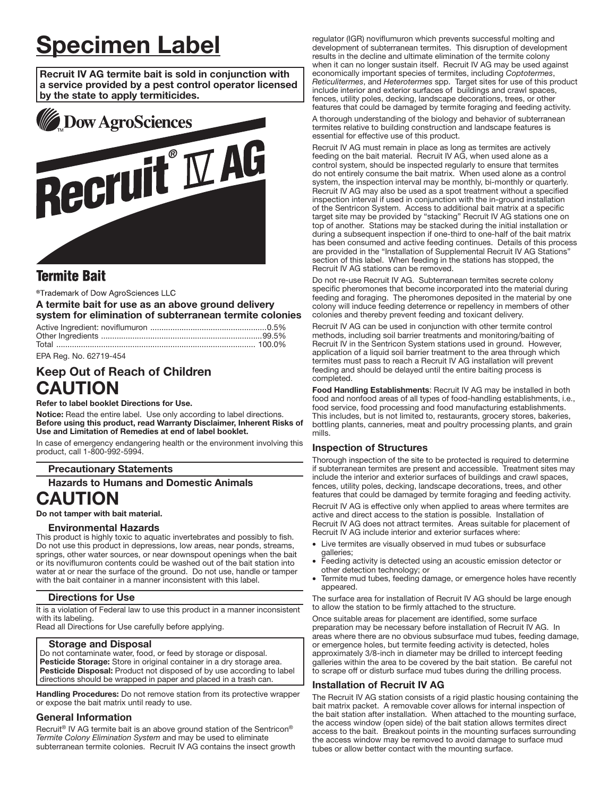# Specimen Label

Recruit IV AG termite bait is sold in conjunction with a service provided by a pest control operator licensed by the state to apply termiticides.



# **Termite Bait**

®Trademark of Dow AgroSciences LLC

# A termite bait for use as an above ground delivery system for elimination of subterranean termite colonies

EPA Reg. No. 62719-454

# Keep Out of Reach of Children CAUTION

Refer to label booklet Directions for Use.

Notice: Read the entire label. Use only according to label directions. Before using this product, read Warranty Disclaimer, Inherent Risks of Use and Limitation of Remedies at end of label booklet.

In case of emergency endangering health or the environment involving this product, call 1-800-992-5994.

# Precautionary Statements

Hazards to Humans and Domestic Animals

# CAUTION

Do not tamper with bait material.

#### Environmental Hazards

This product is highly toxic to aquatic invertebrates and possibly to fish. Do not use this product in depressions, low areas, near ponds, streams, springs, other water sources, or near downspout openings when the bait or its noviflumuron contents could be washed out of the bait station into water at or near the surface of the ground. Do not use, handle or tamper with the bait container in a manner inconsistent with this label.

#### Directions for Use

It is a violation of Federal law to use this product in a manner inconsistent with its labeling.

Read all Directions for Use carefully before applying.

#### Storage and Disposal

Do not contaminate water, food, or feed by storage or disposal. Pesticide Storage: Store in original container in a dry storage area. Pesticide Disposal: Product not disposed of by use according to label directions should be wrapped in paper and placed in a trash can. ŗ

Handling Procedures: Do not remove station from its protective wrapper or expose the bait matrix until ready to use.

#### General Information

Recruit<sup>®</sup> IV AG termite bait is an above ground station of the Sentricon<sup>®</sup> *Termite Colony Elimination System* and may be used to eliminate subterranean termite colonies. Recruit IV AG contains the insect growth regulator (IGR) noviflumuron which prevents successful molting and development of subterranean termites. This disruption of development results in the decline and ultimate elimination of the termite colony when it can no longer sustain itself. Recruit IV AG may be used against economically important species of termites, including *Coptotermes*, *Reticulitermes*, and *Heterotermes* spp. Target sites for use of this product include interior and exterior surfaces of buildings and crawl spaces, fences, utility poles, decking, landscape decorations, trees, or other features that could be damaged by termite foraging and feeding activity.

A thorough understanding of the biology and behavior of subterranean termites relative to building construction and landscape features is essential for effective use of this product.

Recruit IV AG must remain in place as long as termites are actively feeding on the bait material. Recruit IV AG, when used alone as a control system, should be inspected regularly to ensure that termites do not entirely consume the bait matrix. When used alone as a control system, the inspection interval may be monthly, bi-monthly or quarterly. Recruit IV AG may also be used as a spot treatment without a specified inspection interval if used in conjunction with the in-ground installation of the Sentricon System. Access to additional bait matrix at a specific target site may be provided by "stacking" Recruit IV AG stations one on top of another. Stations may be stacked during the initial installation or during a subsequent inspection if one-third to one-half of the bait matrix has been consumed and active feeding continues. Details of this process are provided in the "Installation of Supplemental Recruit IV AG Stations" section of this label. When feeding in the stations has stopped, the Recruit IV AG stations can be removed.

Do not re-use Recruit IV AG. Subterranean termites secrete colony specific pheromones that become incorporated into the material during feeding and foraging. The pheromones deposited in the material by one colony will induce feeding deterrence or repellency in members of other colonies and thereby prevent feeding and toxicant delivery.

Recruit IV AG can be used in conjunction with other termite control methods, including soil barrier treatments and monitoring/baiting of Recruit IV in the Sentricon System stations used in ground. However, application of a liquid soil barrier treatment to the area through which termites must pass to reach a Recruit IV AG installation will prevent feeding and should be delayed until the entire baiting process is completed.

Food Handling Establishments: Recruit IV AG may be installed in both food and nonfood areas of all types of food-handling establishments, i.e., food service, food processing and food manufacturing establishments. This includes, but is not limited to, restaurants, grocery stores, bakeries, bottling plants, canneries, meat and poultry processing plants, and grain mills.

# Inspection of Structures

Thorough inspection of the site to be protected is required to determine if subterranean termites are present and accessible. Treatment sites may include the interior and exterior surfaces of buildings and crawl spaces, fences, utility poles, decking, landscape decorations, trees, and other features that could be damaged by termite foraging and feeding activity.

Recruit IV AG is effective only when applied to areas where termites are active and direct access to the station is possible. Installation of Recruit IV AG does not attract termites. Areas suitable for placement of Recruit IV AG include interior and exterior surfaces where:

- Live termites are visually observed in mud tubes or subsurface galleries;
- Feeding activity is detected using an acoustic emission detector or other detection technology; or
- Termite mud tubes, feeding damage, or emergence holes have recently appeared.

The surface area for installation of Recruit IV AG should be large enough to allow the station to be firmly attached to the structure.

Once suitable areas for placement are identified, some surface preparation may be necessary before installation of Recruit IV AG. In areas where there are no obvious subsurface mud tubes, feeding damage, or emergence holes, but termite feeding activity is detected, holes approximately 3/8-inch in diameter may be drilled to intercept feeding galleries within the area to be covered by the bait station. Be careful not to scrape off or disturb surface mud tubes during the drilling process.

# Installation of Recruit IV AG

The Recruit IV AG station consists of a rigid plastic housing containing the bait matrix packet. A removable cover allows for internal inspection of the bait station after installation. When attached to the mounting surface, the access window (open side) of the bait station allows termites direct access to the bait. Breakout points in the mounting surfaces surrounding the access window may be removed to avoid damage to surface mud tubes or allow better contact with the mounting surface.